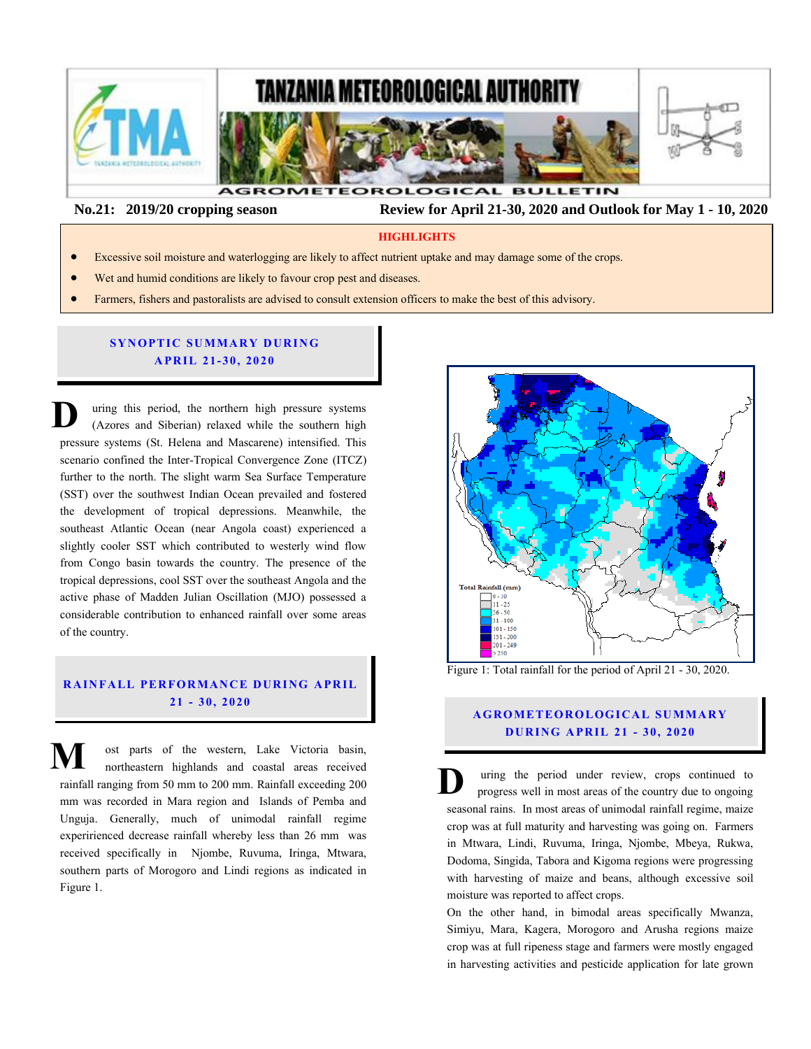

 **No.21: 2019/20 cropping season Review for April 21-30, 2020 and Outlook for May 1 - 10, 2020**

#### **HIGHLIGHTS**

- Excessive soil moisture and waterlogging are likely to affect nutrient uptake and may damage some of the crops.
- Wet and humid conditions are likely to favour crop pest and diseases.
- Farmers, fishers and pastoralists are advised to consult extension officers to make the best of this advisory.

## **SYNOPTIC SUMMARY DURING A PR IL 21- 30, 20 20**

uring this period, the northern high pressure systems (Azores and Siberian) relaxed while the southern high pressure systems (St. Helena and Mascarene) intensified. This scenario confined the Inter-Tropical Convergence Zone (ITCZ) further to the north. The slight warm Sea Surface Temperature (SST) over the southwest Indian Ocean prevailed and fostered<br>the development of tropical depressions. Meanwhile, the the development of tropical depressions. Meanwhile, the southeast Atlantic Ocean (near Angola coast) experienced a slightly cooler SST which contributed to westerly wind flow from Congo basin towards the country. The presence of the tropical depressions, cool SST over the southeast Angola and the active phase of Madden Julian Oscillation (MJO) possessed a considerable contribution to enhanced rainfall over some areas of the country. **D** pro<br> **SC** 

# **RAINFALL PERFORMANCE DURING APRIL 21 - 30, 20 20**

ost parts of the western, Lake Victoria basin, northeastern highlands and coastal areas received rainfall ranging from 50 mm to 200 mm. Rainfall exceeding 200 mm was recorded in Mara region and Islands of Pemba and Unguja. Generally, much of unimodal rainfall regime experirienced decrease rainfall whereby less than 26 mm was received specifically in Njombe, Ruvuma, Iringa, Mtwara, southern parts of Morogoro and Lindi regions as indicated in Figure 1. **M** ost parts of the western, Lake Victoria basin,<br>northeastern highlands and coastal areas received<br>rainfall ranging from 50 mm to 200 mm. Rainfall exceeding 200<br>mm was recorded in Mara region and Islands of Pemba and



Figure 1: Total rainfall for the period of April 21 - 30, 2020.

# **AGROMETEOROLOGICAL SUMMARY D UR ING A PR IL 21 - 30, 2020**

uring the period under review, crops continued to progress well in most areas of the country due to ongoing seasonal rains. In most areas of unimodal rainfall regime, maize crop was at full maturity and harvesting was going on. Farmers in Mtwara, Lindi, Ruvuma, Iringa, Njombe, Mbeya, Rukwa, Dodoma, Singida, Tabora and Kigoma regions were progressing with harvesting of maize and beans, although excessive soil moisture was reported to affect crops.

On the other hand, in bimodal areas specifically Mwanza, Simiyu, Mara, Kagera, Morogoro and Arusha regions maize crop was at full ripeness stage and farmers were mostly engaged in harvesting activities and pesticide application for late grown